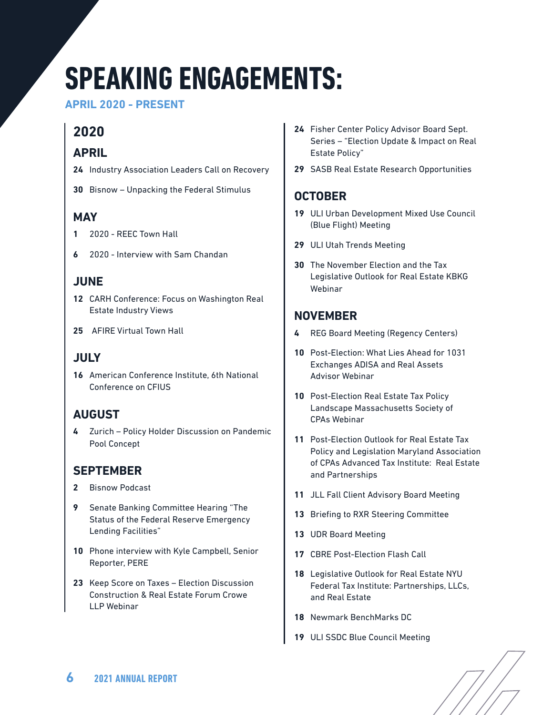# **SPEAKING ENGAGEMENTS:**

**APRIL 2020 - PRESENT**

# **2020**

## **APRIL**

- **24** Industry Association Leaders Call on Recovery
- **30** Bisnow Unpacking the Federal Stimulus

### **MAY**

- **1** 2020 REEC Town Hall
- **6** 2020 Interview with Sam Chandan

## **JUNE**

- **12** CARH Conference: Focus on Washington Real Estate Industry Views
- **25** AFIRE Virtual Town Hall

## **JULY**

**16** American Conference Institute, 6th National Conference on CFIUS

## **AUGUST**

**4** Zurich – Policy Holder Discussion on Pandemic Pool Concept

## **SEPTEMBER**

- **2** Bisnow Podcast
- **9** Senate Banking Committee Hearing "The Status of the Federal Reserve Emergency Lending Facilities"
- **10** Phone interview with Kyle Campbell, Senior Reporter, PERE
- **23** Keep Score on Taxes Election Discussion Construction & Real Estate Forum Crowe LLP Webinar
- **24** Fisher Center Policy Advisor Board Sept. Series – "Election Update & Impact on Real Estate Policy"
- **29** SASB Real Estate Research Opportunities

## **OCTOBER**

- **19** ULI Urban Development Mixed Use Council (Blue Flight) Meeting
- **29** ULI Utah Trends Meeting
- **30** The November Election and the Tax Legislative Outlook for Real Estate KBKG Webinar

## **NOVEMBER**

- **4** REG Board Meeting (Regency Centers)
- **10** Post-Election: What Lies Ahead for 1031 Exchanges ADISA and Real Assets Advisor Webinar
- **10** Post-Election Real Estate Tax Policy Landscape Massachusetts Society of CPAs Webinar
- **11** Post-Election Outlook for Real Estate Tax Policy and Legislation Maryland Association of CPAs Advanced Tax Institute: Real Estate and Partnerships
- **11** JLL Fall Client Advisory Board Meeting
- **13** Briefing to RXR Steering Committee
- **13** UDR Board Meeting
- **17** CBRE Post-Election Flash Call
- **18** Legislative Outlook for Real Estate NYU Federal Tax Institute: Partnerships, LLCs, and Real Estate
- **18** Newmark BenchMarks DC
- **19** ULI SSDC Blue Council Meeting